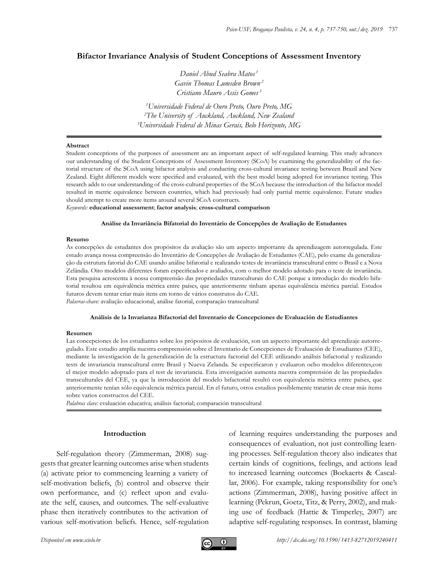# **Bifactor Invariance Analysis of Student Conceptions of Assessment Inventory**

*Daniel Abud Seabra Matos <sup>1</sup> Gavin Thomas Lumsden Brown <sup>2</sup> Cristiano Mauro Assis Gomes <sup>3</sup>*

*1 Universidade Federal de Ouro Preto, Ouro Preto, MG 2 The University of Auckland, Auckland, New Zealand 3 Universidade Federal de Minas Gerais, Belo Horizonte, MG*

#### **Abstract**

Student conceptions of the purposes of assessment are an important aspect of self-regulated learning. This study advances our understanding of the Student Conceptions of Assessment Inventory (SCoA) by examining the generalizability of the factorial structure of the SCoA using bifactor analysis and conducting cross-cultural invariance testing between Brazil and New Zealand. Eight different models were specified and evaluated, with the best model being adopted for invariance testing. This research adds to our understanding of the cross-cultural properties of the SCoA because the introduction of the bifactor model resulted in metric equivalence between countries, which had previously had only partial metric equivalence. Future studies should attempt to create more items around several SCoA constructs.

*Keywords:* **educational assessment**; **factor analysis**; **cross-cultural comparison**

#### **Análise da Invariância Bifatorial do Inventário de Concepções de Avaliação de Estudantes**

#### **Resumo**

As concepções de estudantes dos propósitos da avaliação são um aspecto importante da aprendizagem autorregulada. Este estudo avança nossa compreensão do Inventário de Concepções de Avaliação de Estudantes (CAE), pelo exame da generalização da estrutura fatorial do CAE usando análise bifatorial e realizando testes de invariância transcultural entre o Brasil e a Nova Zelândia. Oito modelos diferentes foram especificados e avaliados, com o melhor modelo adotado para o teste de invariância. Esta pesquisa acrescenta à nossa compreensão das propriedades transculturais do CAE porque a introdução do modelo bifatorial resultou em equivalência métrica entre países, que anteriormente tinham apenas equivalência métrica parcial. Estudos futuros devem tentar criar mais itens em torno de vários construtos do CAE. *Palavras-chave:* avaliação educacional, análise fatorial, comparação transcultural

#### **Análisis de la Invarianza Bifactorial del Inventario de Concepciones de Evaluación de Estudiantes**

### **Resumen**

Las concepciones de los estudiantes sobre los própositos de evaluación, son un aspecto importante del aprendizaje autorregulado. Este estudio amplía nuestra comprensión sobre el Inventario de Concepciones de Evaluación de Estudiantes (CEE), mediante la investigación de la generalización de la estructura factorial del CEE utilizando análisis bifactorial y realizando tests de invariancia transcultural entre Brasil y Nueva Zelanda. Se especificaron y evaluaron ocho modelos diferentes,con el mejor modelo adoptado para el test de invariancia. Esta investigación aumenta nuestra comprensión de las propiedades transculturales del CEE, ya que la introducción del modelo bifactorial resultó con equivalencia métrica entre países, que anteriormente tenían sólo equivalencia métrica parcial. En el futuro, otros estudios posiblemente tratarán de crear más ítems sobre varios constructos del CEE.

*Palabras clave:* evaluación educativa; análisis factorial; comparación transcultural

### **Introduction**

Self-regulation theory (Zimmerman, 2008) suggests that greater learning outcomes arise when students (a) activate prior to commencing learning a variety of self-motivation beliefs, (b) control and observe their own performance, and (c) reflect upon and evaluate the self, causes, and outcomes. The self-evaluative phase then iteratively contributes to the activation of various self-motivation beliefs. Hence, self-regulation of learning requires understanding the purposes and consequences of evaluation, not just controlling learning processes. Self-regulation theory also indicates that certain kinds of cognitions, feelings, and actions lead to increased learning outcomes (Boekaerts & Cascallar, 2006). For example, taking responsibility for one's actions (Zimmerman, 2008), having positive affect in learning (Pekrun, Goetz, Titz, & Perry, 2002), and making use of feedback (Hattie & Timperley, 2007) are adaptive self-regulating responses. In contrast, blaming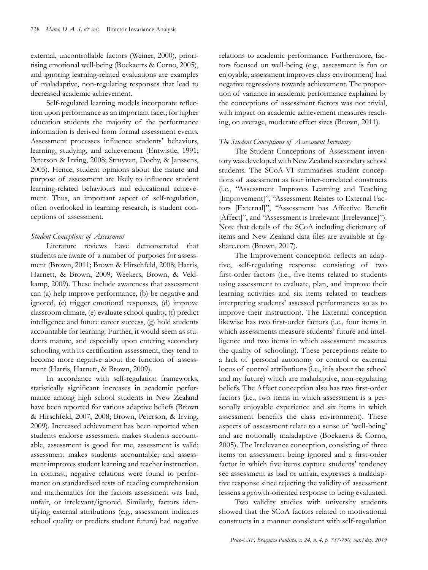external, uncontrollable factors (Weiner, 2000), prioritising emotional well-being (Boekaerts & Corno, 2005), and ignoring learning-related evaluations are examples of maladaptive, non-regulating responses that lead to decreased academic achievement.

Self-regulated learning models incorporate reflection upon performance as an important facet; for higher education students the majority of the performance information is derived from formal assessment events. Assessment processes influence students' behaviors, learning, studying, and achievement (Entwistle, 1991; Peterson & Irving, 2008; Struyven, Dochy, & Janssens, 2005). Hence, student opinions about the nature and purpose of assessment are likely to influence student learning-related behaviours and educational achievement. Thus, an important aspect of self-regulation, often overlooked in learning research, is student conceptions of assessment.

# *Student Conceptions of Assessment*

Literature reviews have demonstrated that students are aware of a number of purposes for assessment (Brown, 2011; Brown & Hirschfeld, 2008; Harris, Harnett, & Brown, 2009; Weekers, Brown, & Veldkamp, 2009). These include awareness that assessment can (a) help improve performance, (b) be negative and ignored, (c) trigger emotional responses, (d) improve classroom climate, (e) evaluate school quality, (f) predict intelligence and future career success, (g) hold students accountable for learning. Further, it would seem as students mature, and especially upon entering secondary schooling with its certification assessment, they tend to become more negative about the function of assessment (Harris, Harnett, & Brown, 2009).

In accordance with self-regulation frameworks, statistically significant increases in academic performance among high school students in New Zealand have been reported for various adaptive beliefs (Brown & Hirschfeld, 2007, 2008; Brown, Peterson, & Irving, 2009). Increased achievement has been reported when students endorse assessment makes students accountable, assessment is good for me, assessment is valid; assessment makes students accountable; and assessment improves student learning and teacher instruction. In contrast, negative relations were found to performance on standardised tests of reading comprehension and mathematics for the factors assessment was bad, unfair, or irrelevant/ignored. Similarly, factors identifying external attributions (e.g., assessment indicates school quality or predicts student future) had negative

relations to academic performance. Furthermore, factors focused on well-being (e.g., assessment is fun or enjoyable, assessment improves class environment) had negative regressions towards achievement. The proportion of variance in academic performance explained by the conceptions of assessment factors was not trivial, with impact on academic achievement measures reaching, on average, moderate effect sizes (Brown, 2011).

# *The Student Conceptions of Assessment Inventory*

The Student Conceptions of Assessment inventory was developed with New Zealand secondary school students. The SCoA-VI summarises student conceptions of assessment as four inter-correlated constructs (i.e., "Assessment Improves Learning and Teaching [Improvement]", "Assessment Relates to External Factors [External]", "Assessment has Affective Benefit [Affect]", and "Assessment is Irrelevant [Irrelevance]"). Note that details of the SCoA including dictionary of items and New Zealand data files are available at figshare.com (Brown, 2017).

The Improvement conception reflects an adaptive, self-regulating response consisting of two first-order factors (i.e., five items related to students using assessment to evaluate, plan, and improve their learning activities and six items related to teachers interpreting students' assessed performances so as to improve their instruction). The External conception likewise has two first-order factors (i.e., four items in which assessments measure students' future and intelligence and two items in which assessment measures the quality of schooling). These perceptions relate to a lack of personal autonomy or control or external locus of control attributions (i.e., it is about the school and my future) which are maladaptive, non-regulating beliefs. The Affect conception also has two first-order factors (i.e., two items in which assessment is a personally enjoyable experience and six items in which assessment benefits the class environment). These aspects of assessment relate to a sense of 'well-being' and are notionally maladaptive (Boekaerts & Corno, 2005). The Irrelevance conception, consisting of three items on assessment being ignored and a first-order factor in which five items capture students' tendency see assessment as bad or unfair, expresses a maladaptive response since rejecting the validity of assessment lessens a growth-oriented response to being evaluated.

Two validity studies with university students showed that the SCoA factors related to motivational constructs in a manner consistent with self-regulation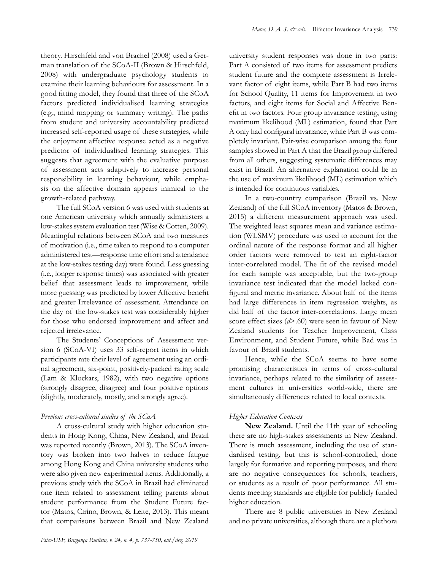theory. Hirschfeld and von Brachel (2008) used a German translation of the SCoA-II (Brown & Hirschfeld, 2008) with undergraduate psychology students to examine their learning behaviours for assessment. In a good fitting model, they found that three of the SCoA factors predicted individualised learning strategies (e.g., mind mapping or summary writing). The paths from student and university accountability predicted increased self-reported usage of these strategies, while the enjoyment affective response acted as a negative predictor of individualised learning strategies. This suggests that agreement with the evaluative purpose of assessment acts adaptively to increase personal responsibility in learning behaviour, while emphasis on the affective domain appears inimical to the growth-related pathway.

The full SCoA version 6 was used with students at one American university which annually administers a low-stakes system evaluation test (Wise & Cotten, 2009). Meaningful relations between SCoA and two measures of motivation (i.e., time taken to respond to a computer administered test—response time effort and attendance at the low-stakes testing day) were found. Less guessing (i.e., longer response times) was associated with greater belief that assessment leads to improvement, while more guessing was predicted by lower Affective benefit and greater Irrelevance of assessment. Attendance on the day of the low-stakes test was considerably higher for those who endorsed improvement and affect and rejected irrelevance.

The Students' Conceptions of Assessment version 6 (SCoA-VI) uses 33 self-report items in which participants rate their level of agreement using an ordinal agreement, six-point, positively-packed rating scale (Lam & Klockars, 1982), with two negative options (strongly disagree, disagree) and four positive options (slightly, moderately, mostly, and strongly agree).

# *Previous cross-cultural studies of the SCoA*

A cross-cultural study with higher education students in Hong Kong, China, New Zealand, and Brazil was reported recently (Brown, 2013). The SCoA inventory was broken into two halves to reduce fatigue among Hong Kong and China university students who were also given new experimental items. Additionally, a previous study with the SCoA in Brazil had eliminated one item related to assessment telling parents about student performance from the Student Future factor (Matos, Cirino, Brown, & Leite, 2013). This meant that comparisons between Brazil and New Zealand

university student responses was done in two parts: Part A consisted of two items for assessment predicts student future and the complete assessment is Irrelevant factor of eight items, while Part B had two items for School Quality, 11 items for Improvement in two factors, and eight items for Social and Affective Benefit in two factors. Four group invariance testing, using maximum likelihood (ML) estimation, found that Part A only had configural invariance, while Part B was completely invariant. Pair-wise comparison among the four samples showed in Part A that the Brazil group differed from all others, suggesting systematic differences may exist in Brazil. An alternative explanation could lie in the use of maximum likelihood (ML) estimation which is intended for continuous variables.

In a two-country comparison (Brazil vs. New Zealand) of the full SCoA inventory (Matos & Brown, 2015) a different measurement approach was used. The weighted least squares mean and variance estimation (WLSMV) procedure was used to account for the ordinal nature of the response format and all higher order factors were removed to test an eight-factor inter-correlated model. The fit of the revised model for each sample was acceptable, but the two-group invariance test indicated that the model lacked configural and metric invariance. About half of the items had large differences in item regression weights, as did half of the factor inter-correlations. Large mean score effect sizes (*d*>.60) were seen in favour of New Zealand students for Teacher Improvement, Class Environment, and Student Future, while Bad was in favour of Brazil students.

Hence, while the SCoA seems to have some promising characteristics in terms of cross-cultural invariance, perhaps related to the similarity of assessment cultures in universities world-wide, there are simultaneously differences related to local contexts.

# *Higher Education Contexts*

**New Zealand.** Until the 11th year of schooling there are no high-stakes assessments in New Zealand. There is much assessment, including the use of standardised testing, but this is school-controlled, done largely for formative and reporting purposes, and there are no negative consequences for schools, teachers, or students as a result of poor performance. All students meeting standards are eligible for publicly funded higher education.

There are 8 public universities in New Zealand and no private universities, although there are a plethora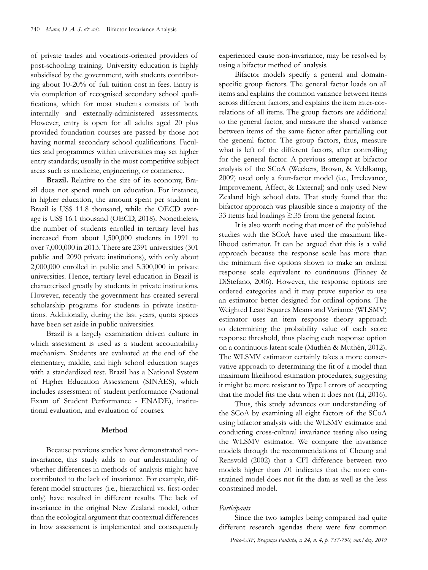of private trades and vocations-oriented providers of post-schooling training. University education is highly subsidised by the government, with students contributing about 10-20% of full tuition cost in fees. Entry is via completion of recognised secondary school qualifications, which for most students consists of both internally and externally-administered assessments. However, entry is open for all adults aged 20 plus provided foundation courses are passed by those not having normal secondary school qualifications. Faculties and programmes within universities may set higher entry standards; usually in the most competitive subject areas such as medicine, engineering, or commerce.

**Brazil.** Relative to the size of its economy, Brazil does not spend much on education. For instance, in higher education, the amount spent per student in Brazil is US\$ 11.8 thousand, while the OECD average is US\$ 16.1 thousand (OECD, 2018). Nonetheless, the number of students enrolled in tertiary level has increased from about 1,500,000 students in 1991 to over 7,000,000 in 2013. There are 2391 universities (301 public and 2090 private institutions), with only about 2,000,000 enrolled in public and 5.300,000 in private universities. Hence, tertiary level education in Brazil is characterised greatly by students in private institutions. However, recently the government has created several scholarship programs for students in private institutions. Additionally, during the last years, quota spaces have been set aside in public universities.

Brazil is a largely examination driven culture in which assessment is used as a student accountability mechanism. Students are evaluated at the end of the elementary, middle, and high school education stages with a standardized test. Brazil has a National System of Higher Education Assessment (SINAES), which includes assessment of student performance (National Exam of Student Performance - ENADE), institutional evaluation, and evaluation of courses.

# **Method**

Because previous studies have demonstrated noninvariance, this study adds to our understanding of whether differences in methods of analysis might have contributed to the lack of invariance. For example, different model structures (i.e., hierarchical vs. first-order only) have resulted in different results. The lack of invariance in the original New Zealand model, other than the ecological argument that contextual differences in how assessment is implemented and consequently experienced cause non-invariance, may be resolved by using a bifactor method of analysis.

Bifactor models specify a general and domainspecific group factors. The general factor loads on all items and explains the common variance between items across different factors, and explains the item inter-correlations of all items. The group factors are additional to the general factor, and measure the shared variance between items of the same factor after partialling out the general factor. The group factors, thus, measure what is left of the different factors, after controlling for the general factor. A previous attempt at bifactor analysis of the SCoA (Weekers, Brown, & Veldkamp, 2009) used only a four-factor model (i.e., Irrelevance, Improvement, Affect, & External) and only used New Zealand high school data. That study found that the bifactor approach was plausible since a majority of the 33 items had loadings ≥.35 from the general factor.

It is also worth noting that most of the published studies with the SCoA have used the maximum likelihood estimator. It can be argued that this is a valid approach because the response scale has more than the minimum five options shown to make an ordinal response scale equivalent to continuous (Finney & DiStefano, 2006). However, the response options are ordered categories and it may prove superior to use an estimator better designed for ordinal options. The Weighted Least Squares Means and Variance (WLSMV) estimator uses an item response theory approach to determining the probability value of each score response threshold, thus placing each response option on a continuous latent scale (Muthén & Muthén, 2012). The WLSMV estimator certainly takes a more conservative approach to determining the fit of a model than maximum likelihood estimation procedures, suggesting it might be more resistant to Type I errors of accepting that the model fits the data when it does not (Li, 2016).

Thus, this study advances our understanding of the SCoA by examining all eight factors of the SCoA using bifactor analysis with the WLSMV estimator and conducting cross-cultural invariance testing also using the WLSMV estimator. We compare the invariance models through the recommendations of Cheung and Rensvold (2002) that a CFI difference between two models higher than .01 indicates that the more constrained model does not fit the data as well as the less constrained model.

### *Participants*

Since the two samples being compared had quite different research agendas there were few common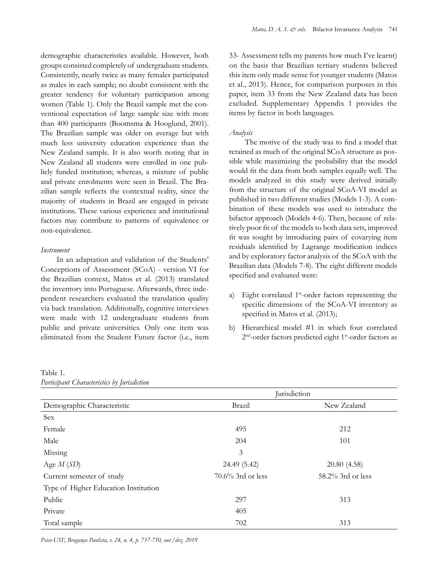demographic characteristics available. However, both groups consisted completely of undergraduate students. Consistently, nearly twice as many females participated as males in each sample; no doubt consistent with the greater tendency for voluntary participation among women (Table 1). Only the Brazil sample met the conventional expectation of large sample size with more than 400 participants (Boomsma & Hooglund, 2001). The Brazilian sample was older on average but with much less university education experience than the New Zealand sample. It is also worth noting that in New Zealand all students were enrolled in one publicly funded institution; whereas, a mixture of public and private enrolments were seen in Brazil. The Brazilian sample reflects the contextual reality, since the majority of students in Brazil are engaged in private institutions. These various experience and institutional factors may contribute to patterns of equivalence or non-equivalence.

### *Instrument*

In an adaptation and validation of the Students' Conceptions of Assessment (SCoA) - version VI for the Brazilian context, Matos et al. (2013) translated the inventory into Portuguese. Afterwards, three independent researchers evaluated the translation quality via back translation. Additionally, cognitive interviews were made with 12 undergraduate students from public and private universities. Only one item was eliminated from the Student Future factor (i.e., item 33- Assessment tells my parents how much I've learnt) on the basis that Brazilian tertiary students believed this item only made sense for younger students (Matos et al., 2013). Hence, for comparison purposes in this paper, item 33 from the New Zealand data has been excluded. Supplementary Appendix 1 provides the items by factor in both languages.

# *Analysis*

The motive of the study was to find a model that retained as much of the original SCoA structure as possible while maximizing the probability that the model would fit the data from both samples equally well. The models analyzed in this study were derived initially from the structure of the original SCoA-VI model as published in two different studies (Models 1-3). A combination of these models was used to introduce the bifactor approach (Models 4-6). Then, because of relatively poor fit of the models to both data sets, improved fit was sought by introducing pairs of covarying item residuals identified by Lagrange modification indices and by exploratory factor analysis of the SCoA with the Brazilian data (Models 7-8). The eight different models specified and evaluated were:

- a) Eight correlated 1<sup>st</sup>-order factors representing the specific dimensions of the SCoA-VI inventory as specified in Matos et al. (2013);
- b) Hierarchical model #1 in which four correlated 2<sup>nd</sup>-order factors predicted eight 1<sup>st</sup>-order factors as

|                                      |                   | Jurisdiction      |
|--------------------------------------|-------------------|-------------------|
| Demographic Characteristic           | Brazil            | New Zealand       |
| Sex                                  |                   |                   |
| Female                               | 495               | 212               |
| Male                                 | 204               | 101               |
| Missing                              | 3                 |                   |
| Age $M(SD)$                          | 24.49 (5.42)      | 20.80 (4.58)      |
| Current semester of study            | 70.6% 3rd or less | 58.2% 3rd or less |
| Type of Higher Education Institution |                   |                   |
| Public                               | 297               | 313               |
| Private                              | 405               |                   |
| Total sample                         | 702               | 313               |

Table 1*. Participant Characteristics by Jurisdiction*

*Psico-USF, Bragança Paulista, v. 24, n. 4, p. 737-750, out./dez. 2019*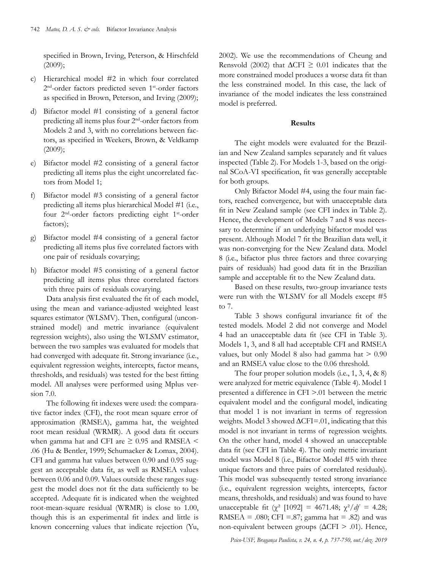specified in Brown, Irving, Peterson, & Hirschfeld (2009);

- c) Hierarchical model #2 in which four correlated 2<sup>nd</sup>-order factors predicted seven 1<sup>st</sup>-order factors as specified in Brown, Peterson, and Irving (2009);
- d) Bifactor model #1 consisting of a general factor predicting all items plus four 2nd-order factors from Models 2 and 3, with no correlations between factors, as specified in Weekers, Brown, & Veldkamp (2009);
- e) Bifactor model #2 consisting of a general factor predicting all items plus the eight uncorrelated factors from Model 1;
- f) Bifactor model #3 consisting of a general factor predicting all items plus hierarchical Model #1 (i.e., four 2<sup>nd</sup>-order factors predicting eight 1<sup>st</sup>-order factors);
- g) Bifactor model #4 consisting of a general factor predicting all items plus five correlated factors with one pair of residuals covarying;
- h) Bifactor model #5 consisting of a general factor predicting all items plus three correlated factors with three pairs of residuals covarying.

Data analysis first evaluated the fit of each model, using the mean and variance-adjusted weighted least squares estimator (WLSMV). Then, configural (unconstrained model) and metric invariance (equivalent regression weights), also using the WLSMV estimator, between the two samples was evaluated for models that had converged with adequate fit. Strong invariance (i.e., equivalent regression weights, intercepts, factor means, thresholds, and residuals) was tested for the best fitting model. All analyses were performed using Mplus version 7.0.

The following fit indexes were used: the comparative factor index (CFI), the root mean square error of approximation (RMSEA), gamma hat, the weighted root mean residual (WRMR). A good data fit occurs when gamma hat and CFI are  $\geq$  0.95 and RMSEA  $\leq$ .06 (Hu & Bentler, 1999; Schumacker & Lomax, 2004). CFI and gamma hat values between 0.90 and 0.95 suggest an acceptable data fit, as well as RMSEA values between 0.06 and 0.09. Values outside these ranges suggest the model does not fit the data sufficiently to be accepted. Adequate fit is indicated when the weighted root-mean-square residual (WRMR) is close to 1.00, though this is an experimental fit index and little is known concerning values that indicate rejection (Yu, 2002). We use the recommendations of Cheung and Rensvold (2002) that  $\Delta$ CFI ≥ 0.01 indicates that the more constrained model produces a worse data fit than the less constrained model. In this case, the lack of invariance of the model indicates the less constrained model is preferred.

### **Results**

The eight models were evaluated for the Brazilian and New Zealand samples separately and fit values inspected (Table 2). For Models 1-3, based on the original SCoA-VI specification, fit was generally acceptable for both groups.

Only Bifactor Model #4, using the four main factors, reached convergence, but with unacceptable data fit in New Zealand sample (see CFI index in Table 2). Hence, the development of Models 7 and 8 was necessary to determine if an underlying bifactor model was present. Although Model 7 fit the Brazilian data well, it was non-converging for the New Zealand data. Model 8 (i.e., bifactor plus three factors and three covarying pairs of residuals) had good data fit in the Brazilian sample and acceptable fit to the New Zealand data.

Based on these results, two-group invariance tests were run with the WLSMV for all Models except #5 to 7.

Table 3 shows configural invariance fit of the tested models. Model 2 did not converge and Model 4 had an unacceptable data fit (see CFI in Table 3). Models 1, 3, and 8 all had acceptable CFI and RMSEA values, but only Model 8 also had gamma hat > 0.90 and an RMSEA value close to the 0.06 threshold.

The four proper solution models (i.e., 1, 3, 4, & 8) were analyzed for metric equivalence (Table 4). Model 1 presented a difference in CFI >.01 between the metric equivalent model and the configural model, indicating that model 1 is not invariant in terms of regression weights. Model 3 showed ∆CFI=.01, indicating that this model is not invariant in terms of regression weights. On the other hand, model 4 showed an unacceptable data fit (see CFI in Table 4). The only metric invariant model was Model 8 (i.e., Bifactor Model #5 with three unique factors and three pairs of correlated residuals). This model was subsequently tested strong invariance (i.e., equivalent regression weights, intercepts, factor means, thresholds, and residuals) and was found to have unacceptable fit (χ<sup>2</sup> [1092] = 4671.48;  $\chi^2/df$  = 4.28; RMSEA = .080; CFI = .87; gamma hat = .82) and was non-equivalent between groups (ΔCFI > .01). Hence,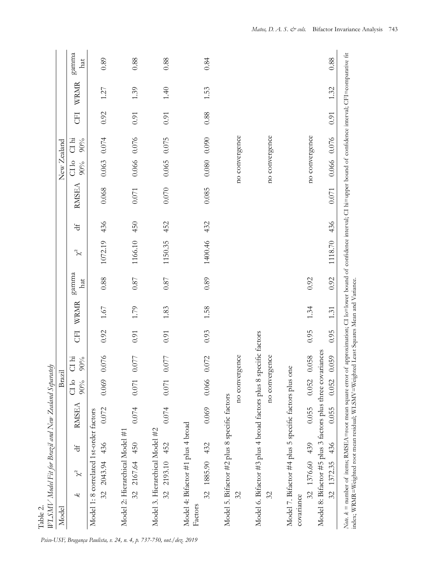| WLSMV Model Fit for Brazil and New Zealand Separately<br>Model                                                                                                                                                                                                                |                                | Brazil         |                   |      |          |              |          |     |           | New Zealand    |              |           |        |              |
|-------------------------------------------------------------------------------------------------------------------------------------------------------------------------------------------------------------------------------------------------------------------------------|--------------------------------|----------------|-------------------|------|----------|--------------|----------|-----|-----------|----------------|--------------|-----------|--------|--------------|
| $\chi^2$<br>k                                                                                                                                                                                                                                                                 | <b>RMSEA</b><br>$\overline{d}$ | $C1$ lo<br>90% | $C1$ hi<br>$90\%$ | EU   | WRMR     | gamma<br>hat | $\chi^2$ | J   | RMSEA     | C110<br>$90\%$ | CI hi<br>90% | <b>ED</b> | WRMR   | gamma<br>hat |
| Model 1: 8 correlated 1st-order factors<br>32 2043.94 436                                                                                                                                                                                                                     | 0.072                          | 0.069          | 0.076             | 0.92 | $1.67\,$ | 0.88         | 1072.19  | 436 | 0.068     | 0.063          | 0.074        | 0.92      | 1.27   | 0.89         |
| Model 2: Hierarchical Model #1<br>32 2167.64 450                                                                                                                                                                                                                              | 0.074                          | 0.071          | 077<br>$\circ$    | 0.91 | 1.79     | $0.87\,$     | 1166.10  | 450 | 0.071     | 0.066          | 0.076        | $0.91\,$  | 1.39   | 0.88         |
| Model 3. Hierarchical Model #2<br>32 2193.10 452                                                                                                                                                                                                                              | 0.074                          | $0.071$        | 0.077             | 0.91 | 1.83     | $0.87\,$     | 1150.35  | 452 | $0.070\,$ | 0.065          | 0.075        | 0.91      | $1.40$ | 0.88         |
| Model 4: Bifactor #1 plus 4 broad<br>32 1885.90 432<br>Factors                                                                                                                                                                                                                | 0.069                          | 0.066          | 0.072             | 0.93 | 1.58     | 0.89         | 1400.46  | 432 | 0.085     | 0.080          | 0.090        | 0.88      | 1.53   | 0.84         |
| Model 5. Bifactor #2 plus 8 specific factors<br>32                                                                                                                                                                                                                            |                                | no convergence |                   |      |          |              |          |     |           | no convergence |              |           |        |              |
| Model 6. Bifactor #3 plus 4 broad factors plus 8 specific factors<br>32                                                                                                                                                                                                       |                                | no convergence |                   |      |          |              |          |     |           | no convergence |              |           |        |              |
| Model 7. Bifactor #4 plus 5 specific factors plus one<br>32 1376.60 439<br>covariance                                                                                                                                                                                         | 0.055                          |                | 0.052 0.058       | 0.95 | 1.34     | 0.92         |          |     |           | no convergence |              |           |        |              |
| Model 8: Bifactor #5 plus 3 factors plus three covariances<br>436<br>32 1372.35                                                                                                                                                                                               | 0.055                          | 0.052          | 0.059             | 0.95 | 1.31     | 0.92         | 1118.70  | 436 | $0.071\,$ | 0.066          | 0.076        | 0.91      | 1.32   | 0.88         |
| Note. k = number of items; RMSEA=root mean square error of approximation; CI lo=lower bound of confidence interval; CI hi=upper bound of confidence interval; CFI=comparative fit<br>index; WRMR=Weighted root mean residual; WLSMV=Weighted Least Squares Mean and Variance. |                                |                |                   |      |          |              |          |     |           |                |              |           |        |              |

*Psico-USF, Bragança Paulista, v. 24, n. 4, p. 737-750, out./dez. 2019*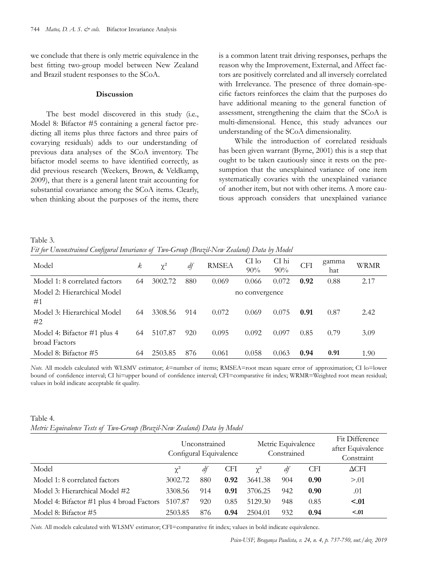we conclude that there is only metric equivalence in the best fitting two-group model between New Zealand and Brazil student responses to the SCoA.

### **Discussion**

The best model discovered in this study (i.e., Model 8: Bifactor #5 containing a general factor predicting all items plus three factors and three pairs of covarying residuals) adds to our understanding of previous data analyses of the SCoA inventory. The bifactor model seems to have identified correctly, as did previous research (Weekers, Brown, & Veldkamp, 2009), that there is a general latent trait accounting for substantial covariance among the SCoA items. Clearly, when thinking about the purposes of the items, there

is a common latent trait driving responses, perhaps the reason why the Improvement, External, and Affect factors are positively correlated and all inversely correlated with Irrelevance. The presence of three domain-specific factors reinforces the claim that the purposes do have additional meaning to the general function of assessment, strengthening the claim that the SCoA is multi-dimensional. Hence, this study advances our understanding of the SCoA dimensionality.

While the introduction of correlated residuals has been given warrant (Byrne, 2001) this is a step that ought to be taken cautiously since it rests on the presumption that the unexplained variance of one item systematically covaries with the unexplained variance of another item, but not with other items. A more cautious approach considers that unexplained variance

Table 3*. Fit for Unconstrained Configural Invariance of Two-Group (Brazil-New Zealand) Data by Model*

| Model                                        | k  | $\chi^2$ | df  | <b>RMSEA</b> | CI lo<br>$90\%$ | CI hi<br>$90\%$ | <b>CFI</b> | gamma<br>hat | WRMR |
|----------------------------------------------|----|----------|-----|--------------|-----------------|-----------------|------------|--------------|------|
| Model 1: 8 correlated factors                | 64 | 3002.72  | 880 | 0.069        | 0.066           | 0.072           | 0.92       | 0.88         | 2.17 |
| Model 2: Hierarchical Model<br>#1            |    |          |     |              | no convergence  |                 |            |              |      |
| Model 3: Hierarchical Model<br>#2            | 64 | 3308.56  | 914 | 0.072        | 0.069           | 0.075           | 0.91       | 0.87         | 2.42 |
| Model 4: Bifactor #1 plus 4<br>broad Factors | 64 | 5107.87  | 920 | 0.095        | 0.092           | 0.097           | 0.85       | 0.79         | 3.09 |
| Model 8: Bifactor #5                         | 64 | 2503.85  | 876 | 0.061        | 0.058           | 0.063           | 0.94       | 0.91         | 1.90 |

*Note.* All models calculated with WLSMV estimator; *k*=number of items; RMSEA=root mean square error of approximation; CI lo=lower bound of confidence interval; CI hi=upper bound of confidence interval; CFI=comparative fit index; WRMR=Weighted root mean residual; values in bold indicate acceptable fit quality.

| Table 4.                                                                 |  |  |  |
|--------------------------------------------------------------------------|--|--|--|
| Metric Equivalence Tests of Two-Group (Brazil-New Zealand) Data by Model |  |  |  |

|                                           | Unconstrained<br>Configural Equivalence |     |            | Metric Equivalence<br>Constrained |     |            | Fit Difference<br>after Equivalence<br>Constraint |
|-------------------------------------------|-----------------------------------------|-----|------------|-----------------------------------|-----|------------|---------------------------------------------------|
| Model                                     | $\gamma^2$                              | df  | <b>CFI</b> | $\gamma^2$                        | dt  | <b>CFI</b> | $\Delta$ CFI                                      |
| Model 1: 8 correlated factors             | 3002.72                                 | 880 | 0.92       | 3641.38                           | 904 | 0.90       | > 0.01                                            |
| Model 3: Hierarchical Model #2            | 3308.56                                 | 914 | 0.91       | 3706.25                           | 942 | 0.90       | .01                                               |
| Model 4: Bifactor #1 plus 4 broad Factors | 5107.87                                 | 920 | 0.85       | 5129.30                           | 948 | 0.85       | < 0.01                                            |
| Model 8: Bifactor #5                      | 2503.85                                 | 876 | 0.94       | 2504.01                           | 932 | 0.94       | < 0.01                                            |

*Note.* All models calculated with WLSMV estimator; CFI=comparative fit index; values in bold indicate equivalence.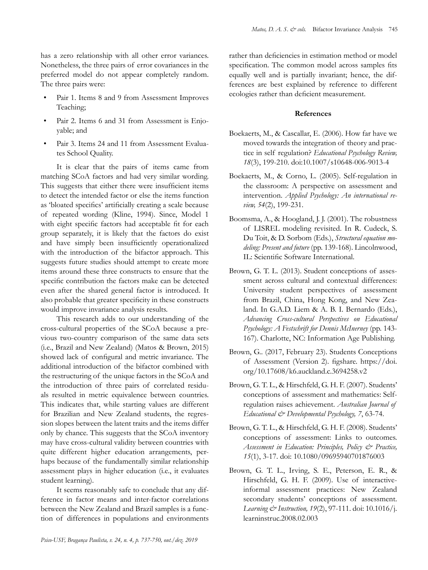has a zero relationship with all other error variances. Nonetheless, the three pairs of error covariances in the preferred model do not appear completely random. The three pairs were:

- Pair 1. Items 8 and 9 from Assessment Improves Teaching;
- Pair 2. Items 6 and 31 from Assessment is Enjoyable; and
- Pair 3. Items 24 and 11 from Assessment Evaluates School Quality.

It is clear that the pairs of items came from matching SCoA factors and had very similar wording. This suggests that either there were insufficient items to detect the intended factor or else the items function as 'bloated specifics' artificially creating a scale because of repeated wording (Kline, 1994). Since, Model 1 with eight specific factors had acceptable fit for each group separately, it is likely that the factors do exist and have simply been insufficiently operationalized with the introduction of the bifactor approach. This suggests future studies should attempt to create more items around these three constructs to ensure that the specific contribution the factors make can be detected even after the shared general factor is introduced. It also probable that greater specificity in these constructs would improve invariance analysis results.

This research adds to our understanding of the cross-cultural properties of the SCoA because a previous two-country comparison of the same data sets (i.e., Brazil and New Zealand) (Matos & Brown, 2015) showed lack of configural and metric invariance. The additional introduction of the bifactor combined with the restructuring of the unique factors in the SCoA and the introduction of three pairs of correlated residuals resulted in metric equivalence between countries. This indicates that, while starting values are different for Brazilian and New Zealand students, the regression slopes between the latent traits and the items differ only by chance. This suggests that the SCoA inventory may have cross-cultural validity between countries with quite different higher education arrangements, perhaps because of the fundamentally similar relationship assessment plays in higher education (i.e., it evaluates student learning).

It seems reasonably safe to conclude that any difference in factor means and inter-factor correlations between the New Zealand and Brazil samples is a function of differences in populations and environments rather than deficiencies in estimation method or model specification. The common model across samples fits equally well and is partially invariant; hence, the differences are best explained by reference to different ecologies rather than deficient measurement.

# **References**

- Boekaerts, M., & Cascallar, E. (2006). How far have we moved towards the integration of theory and practice in self regulation? *Educational Psychology Review, 18*(3), 199-210. doi:10.1007/s10648-006-9013-4
- Boekaerts, M., & Corno, L. (2005). Self-regulation in the classroom: A perspective on assessment and intervention. *Applied Psychology: An international review, 54*(2), 199-231.
- Boomsma, A., & Hoogland, J. J. (2001). The robustness of LISREL modeling revisited. In R. Cudeck, S. Du Toit, & D. Sorbom (Eds.), *Structural equation modeling: Present and future* (pp. 139-168). Lincolnwood, IL: Scientific Software International.
- Brown, G. T. L. (2013). Student conceptions of assessment across cultural and contextual differences: University student perspectives of assessment from Brazil, China, Hong Kong, and New Zealand. In G.A.D. Liem & A. B. I. Bernardo (Eds.), *Advancing Cross-cultural Perspectives on Educational Psychology: A Festschrift for Dennis McInerney* (pp. 143- 167). Charlotte, NC: Information Age Publishing.
- Brown, G.. (2017, February 23). Students Conceptions of Assessment (Version 2). figshare. https://doi. org/10.17608/k6.auckland.c.3694258.v2
- Brown, G. T. L., & Hirschfeld, G. H. F. (2007). Students' conceptions of assessment and mathematics: Selfregulation raises achievement. *Australian Journal of Educational & Developmental Psychology, 7*, 63-74.
- Brown, G. T. L., & Hirschfeld, G. H. F. (2008). Students' conceptions of assessment: Links to outcomes. *Assessment in Education: Principles, Policy & Practice, 15*(1), 3-17. doi: 10.1080/09695940701876003
- Brown, G. T. L., Irving, S. E., Peterson, E. R., & Hirschfeld, G. H. F. (2009). Use of interactiveinformal assessment practices: New Zealand secondary students' conceptions of assessment. *Learning & Instruction, 19*(2), 97-111. doi: 10.1016/j. learninstruc.2008.02.003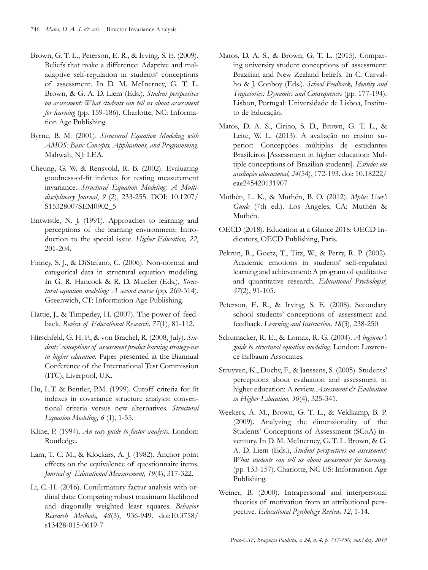- Brown, G. T. L., Peterson, E. R., & Irving, S. E. (2009). Beliefs that make a difference: Adaptive and maladaptive self-regulation in students' conceptions of assessment. In D. M. McInerney, G. T. L. Brown, & G. A. D. Liem (Eds.), *Student perspectives on assessment: What students can tell us about assessment for learning* (pp. 159-186). Charlotte, NC: Information Age Publishing.
- Byrne, B. M. (2001). *Structural Equation Modeling with AMOS: Basic Concepts, Applications, and Programming*. Mahwah, NJ: LEA.
- Cheung, G. W. & Rensvold, R. B. (2002). Evaluating goodness-of-fit indexes for testing measurement invariance*. Structural Equation Modeling: A Multidisciplinary Journal*, *9* (2), 233-255. DOI: [10.1207/](https://doi.org/10.1207/S15328007SEM0902_5) [S15328007SEM0902\\_5](https://doi.org/10.1207/S15328007SEM0902_5)
- Entwistle, N. J. (1991). Approaches to learning and perceptions of the learning environment: Introduction to the special issue. *Higher Education, 22*, 201-204.
- Finney, S. J., & DiStefano, C. (2006). Non-normal and categorical data in structural equation modeling. In G. R. Hancock & R. D. Mueller (Eds.), *Structural equation modeling: A second course* (pp. 269-314). Greenwich, CT: Information Age Publishing.
- Hattie, J., & Timperley, H. (2007). The power of feedback. *Review of Educational Research, 77*(1), 81-112.
- Hirschfeld, G. H. F., & von Brachel, R. (2008, July). *Students' conceptions of assessment predict learning strategy-use in higher education.* Paper presented at the Biannual Conference of the International Test Commission (ITC), Liverpool, UK.
- Hu, L.T. & Bentler, P.M. (1999). Cutoff criteria for fit indexes in covariance structure analysis: conventional criteria versus new alternatives. *Structural Equation Modeling, 6* (1), 1-55.
- Kline, P. (1994). *An easy guide to factor analysis*. London: Routledge.
- Lam, T. C. M., & Klockars, A. J. (1982). Anchor point effects on the equivalence of questionnaire items. *Journal of Educational Measurement, 19*(4), 317-322.
- Li, C.-H. (2016). Confirmatory factor analysis with ordinal data: Comparing robust maximum likelihood and diagonally weighted least squares. *Behavior Research Methods, 48*(3), 936-949. doi:10.3758/ s13428-015-0619-7
- Matos, D. A. S., & Brown, G. T. L. (2015). Comparing university student conceptions of assessment: Brazilian and New Zealand beliefs. In C. Carvalho & J. Conboy (Eds.). *School Feedback, Identity and Trajectories: Dynamics and Consequences* (pp. 177-194). Lisbon, Portugal: Universidade de Lisboa, Instituto de Educação.
- Matos, D. A. S., Cirino, S. D., Brown, G. T. L., & Leite, W. L. (2013). A avaliação no ensino superior: Concepções múltiplas de estudantes Brasileiros [Assessment in higher education: Multiple conceptions of Brazilian students]. *Estudos em avaliação educacional, 24*(54), 172-193*.* doi: 10.18222/ eae245420131907
- Muthén, L. K., & Muthén, B. O. (2012). *Mplus User's Guide* (7th ed.). Los Angeles, CA: Muthén & Muthén.
- OECD (2018). Education at a Glance 2018: OECD Indicators, OECD Publishing, Paris.
- Pekrun, R., Goetz, T., Titz, W., & Perry, R. P. (2002). Academic emotions in students' self-regulated learning and achievement: A program of qualitative and quantitative research. *Educational Psychologist, 37*(2), 91-105.
- Peterson, E. R., & Irving, S. E. (2008). Secondary school students' conceptions of assessment and feedback. *Learning and Instruction, 18*(3), 238-250.
- Schumacker, R. E., & Lomax, R. G. (2004). *A beginner's guide to structural equation modeling*. London: Lawrence Erlbaum Associates.
- Struyven, K., Dochy, F., & Janssens, S. (2005). Students' perceptions about evaluation and assessment in higher education: A review. *Assessment & Evaluation in Higher Education, 30*(4), 325-341.
- Weekers, A. M., Brown, G. T. L., & Veldkamp, B. P. (2009). Analyzing the dimensionality of the Students' Conceptions of Assessment (SCoA) inventory. In D. M. McInerney, G. T. L. Brown, & G. A. D. Liem (Eds.), *Student perspectives on assessment: What students can tell us about assessment for learning.* (pp. 133-157). Charlotte, NC US: Information Age Publishing.
- Weiner, B. (2000). Intrapersonal and interpersonal theories of motivation from an attributional perspective. *Educational Psychology Review, 12*, 1-14.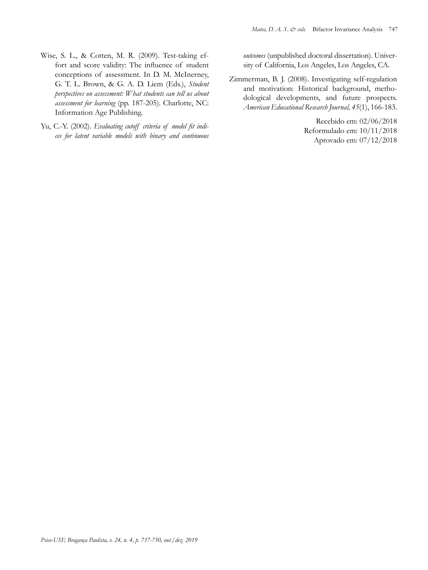- Wise, S. L., & Cotten, M. R. (2009). Test-taking effort and score validity: The influence of student conceptions of assessment. In D. M. McInerney, G. T. L. Brown, & G. A. D. Liem (Eds.), *Student perspectives on assessment: What students can tell us about assessment for learning* (pp. 187-205). Charlotte, NC: Information Age Publishing.
- Yu, C.-Y. (2002). *Evaluating cutoff criteria of model fit indices for latent variable models with binary and continuous*

*outcomes* (unpublished doctoral dissertation). University of California, Los Angeles, Los Angeles, CA.

Zimmerman, B. J. (2008). Investigating self-regulation and motivation: Historical background, methodological developments, and future prospects. *American Educational Research Journal, 45*(1), 166-183.

> Recebido em: 02/06/2018 Reformulado em: 10/11/2018 Aprovado em: 07/12/2018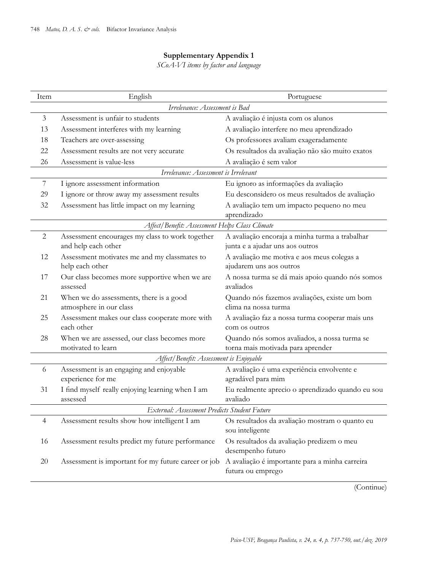# **Supplementary Appendix 1**

*SCoA-VI items by factor and language*

| Item           | English                                                                | Portuguese                                                                        |
|----------------|------------------------------------------------------------------------|-----------------------------------------------------------------------------------|
|                | Irrelevance: Assessment is Bad                                         |                                                                                   |
| $\mathfrak{Z}$ | Assessment is unfair to students                                       | A avaliação é injusta com os alunos                                               |
| 13             | Assessment interferes with my learning                                 | A avaliação interfere no meu aprendizado                                          |
| 18             | Teachers are over-assessing                                            | Os professores avaliam exageradamente                                             |
| 22             | Assessment results are not very accurate                               | Os resultados da avaliação não são muito exatos                                   |
| 26             | Assessment is value-less                                               | A avaliação é sem valor                                                           |
|                | Irrelevance: Assessment is Irrelevant                                  |                                                                                   |
| $\overline{7}$ | I ignore assessment information                                        | Eu ignoro as informações da avaliação                                             |
| 29             | I ignore or throw away my assessment results                           | Eu desconsidero os meus resultados de avaliação                                   |
| 32             | Assessment has little impact on my learning                            | A avaliação tem um impacto pequeno no meu<br>aprendizado                          |
|                | Affect/Benefit: Assessment Helps Class Climate                         |                                                                                   |
| $\overline{2}$ | Assessment encourages my class to work together<br>and help each other | A avaliação encoraja a minha turma a trabalhar<br>junta e a ajudar uns aos outros |
| 12             | Assessment motivates me and my classmates to<br>help each other        | A avaliação me motiva e aos meus colegas a<br>ajudarem uns aos outros             |
| 17             | Our class becomes more supportive when we are<br>assessed              | A nossa turma se dá mais apoio quando nós somos<br>avaliados                      |
| 21             | When we do assessments, there is a good<br>atmosphere in our class     | Quando nós fazemos avaliações, existe um bom<br>clima na nossa turma              |
| 25             | Assessment makes our class cooperate more with<br>each other           | A avaliação faz a nossa turma cooperar mais uns<br>com os outros                  |
| 28             | When we are assessed, our class becomes more<br>motivated to learn     | Quando nós somos avaliados, a nossa turma se<br>torna mais motivada para aprender |
|                | Affect/Benefit: Assessment is Enjoyable                                |                                                                                   |
| 6              | Assessment is an engaging and enjoyable<br>experience for me           | A avaliação é uma experiência envolvente e<br>agradável para mim                  |
| 31             | I find myself really enjoying learning when I am<br>assessed           | Eu realmente aprecio o aprendizado quando eu sou<br>avaliado                      |
|                | External: Assessment Predicts Student Future                           |                                                                                   |
| 4              | Assessment results show how intelligent I am                           | Os resultados da avaliação mostram o quanto eu<br>sou inteligente                 |
| 16             | Assessment results predict my future performance                       | Os resultados da avaliação predizem o meu<br>desempenho futuro                    |
| 20             | Assessment is important for my future career or job                    | A avaliação é importante para a minha carreira<br>futura ou emprego               |
|                |                                                                        | (Continue)                                                                        |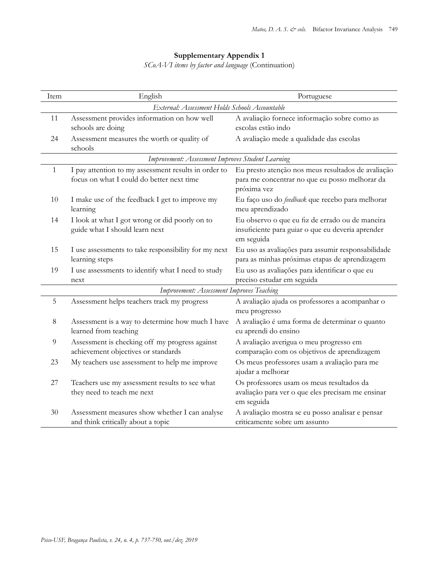# **Supplementary Appendix 1**

*SCoA-VI items by factor and language* (Continuation)

| Item | English                                                                                           | Portuguese                                                                                                          |
|------|---------------------------------------------------------------------------------------------------|---------------------------------------------------------------------------------------------------------------------|
|      | External: Assessment Holds Schools Accountable                                                    |                                                                                                                     |
| 11   | Assessment provides information on how well<br>schools are doing                                  | A avaliação fornece informação sobre como as<br>escolas estão indo                                                  |
| 24   | Assessment measures the worth or quality of<br>schools                                            | A avaliação mede a qualidade das escolas                                                                            |
|      | Improvement: Assessment Improves Student Learning                                                 |                                                                                                                     |
| 1    | I pay attention to my assessment results in order to<br>focus on what I could do better next time | Eu presto atenção nos meus resultados de avaliação<br>para me concentrar no que eu posso melhorar da<br>próxima vez |
| 10   | I make use of the feedback I get to improve my<br>learning                                        | Eu faço uso do feedback que recebo para melhorar<br>meu aprendizado                                                 |
| 14   | I look at what I got wrong or did poorly on to<br>guide what I should learn next                  | Eu observo o que eu fiz de errado ou de maneira<br>insuficiente para guiar o que eu deveria aprender<br>em seguida  |
| 15   | I use assessments to take responsibility for my next<br>learning steps                            | Eu uso as avaliações para assumir responsabilidade<br>para as minhas próximas etapas de aprendizagem                |
| 19   | I use assessments to identify what I need to study<br>next                                        | Eu uso as avaliações para identificar o que eu<br>preciso estudar em seguida                                        |
|      | Improvement: Assessment Improves Teaching                                                         |                                                                                                                     |
| 5    | Assessment helps teachers track my progress                                                       | A avaliação ajuda os professores a acompanhar o<br>meu progresso                                                    |
| 8    | Assessment is a way to determine how much I have<br>learned from teaching                         | A avaliação é uma forma de determinar o quanto<br>eu aprendi do ensino                                              |
| 9    | Assessment is checking off my progress against<br>achievement objectives or standards             | A avaliação averigua o meu progresso em<br>comparação com os objetivos de aprendizagem                              |
| 23   | My teachers use assessment to help me improve                                                     | Os meus professores usam a avaliação para me<br>ajudar a melhorar                                                   |
| 27   | Teachers use my assessment results to see what<br>they need to teach me next                      | Os professores usam os meus resultados da<br>avaliação para ver o que eles precisam me ensinar<br>em seguida        |
| 30   | Assessment measures show whether I can analyse<br>and think critically about a topic              | A avaliação mostra se eu posso analisar e pensar<br>criticamente sobre um assunto                                   |